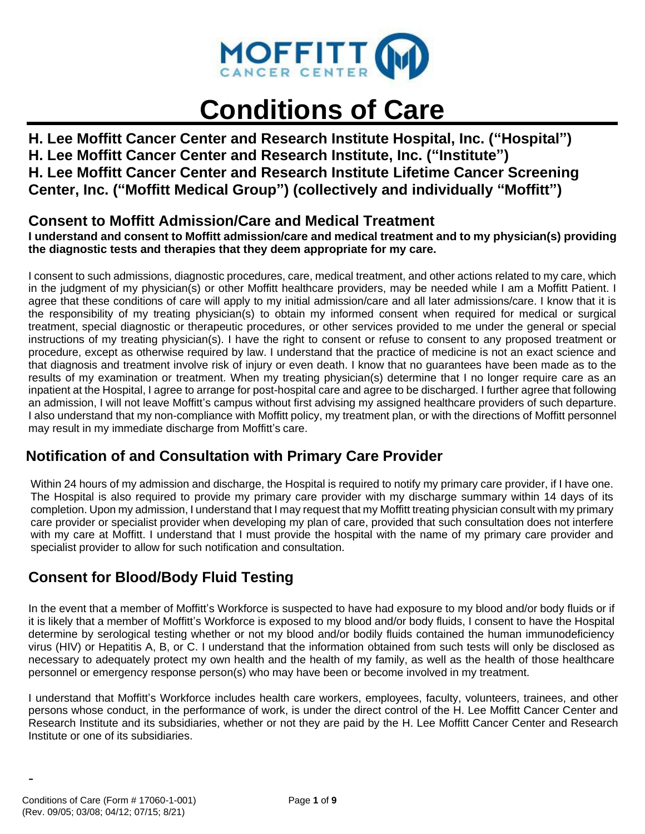

# **Conditions of Care**

**H. Lee Moffitt Cancer Center and Research Institute Hospital, Inc. ("Hospital") H. Lee Moffitt Cancer Center and Research Institute, Inc. ("Institute") H. Lee Moffitt Cancer Center and Research Institute Lifetime Cancer Screening Center, Inc. ("Moffitt Medical Group") (collectively and individually "Moffitt")**

## **Consent to Moffitt Admission/Care and Medical Treatment**

**I understand and consent to Moffitt admission/care and medical treatment and to my physician(s) providing the diagnostic tests and therapies that they deem appropriate for my care.**

I consent to such admissions, diagnostic procedures, care, medical treatment, and other actions related to my care, which in the judgment of my physician(s) or other Moffitt healthcare providers, may be needed while I am a Moffitt Patient. I agree that these conditions of care will apply to my initial admission/care and all later admissions/care. I know that it is the responsibility of my treating physician(s) to obtain my informed consent when required for medical or surgical treatment, special diagnostic or therapeutic procedures, or other services provided to me under the general or special instructions of my treating physician(s). I have the right to consent or refuse to consent to any proposed treatment or procedure, except as otherwise required by law. I understand that the practice of medicine is not an exact science and that diagnosis and treatment involve risk of injury or even death. I know that no guarantees have been made as to the results of my examination or treatment. When my treating physician(s) determine that I no longer require care as an inpatient at the Hospital, I agree to arrange for post-hospital care and agree to be discharged. I further agree that following an admission, I will not leave Moffitt's campus without first advising my assigned healthcare providers of such departure. I also understand that my non-compliance with Moffitt policy, my treatment plan, or with the directions of Moffitt personnel may result in my immediate discharge from Moffitt's care.

# **Notification of and Consultation with Primary Care Provider**

Within 24 hours of my admission and discharge, the Hospital is required to notify my primary care provider, if I have one. The Hospital is also required to provide my primary care provider with my discharge summary within 14 days of its completion. Upon my admission, I understand that I may request that my Moffitt treating physician consult with my primary care provider or specialist provider when developing my plan of care, provided that such consultation does not interfere with my care at Moffitt. I understand that I must provide the hospital with the name of my primary care provider and specialist provider to allow for such notification and consultation.

# **Consent for Blood/Body Fluid Testing**

In the event that a member of Moffitt's Workforce is suspected to have had exposure to my blood and/or body fluids or if it is likely that a member of Moffitt's Workforce is exposed to my blood and/or body fluids, I consent to have the Hospital determine by serological testing whether or not my blood and/or bodily fluids contained the human immunodeficiency virus (HIV) or Hepatitis A, B, or C. I understand that the information obtained from such tests will only be disclosed as necessary to adequately protect my own health and the health of my family, as well as the health of those healthcare personnel or emergency response person(s) who may have been or become involved in my treatment.

I understand that Moffitt's Workforce includes health care workers, employees, faculty, volunteers, trainees, and other persons whose conduct, in the performance of work, is under the direct control of the H. Lee Moffitt Cancer Center and Research Institute and its subsidiaries, whether or not they are paid by the H. Lee Moffitt Cancer Center and Research Institute or one of its subsidiaries.

-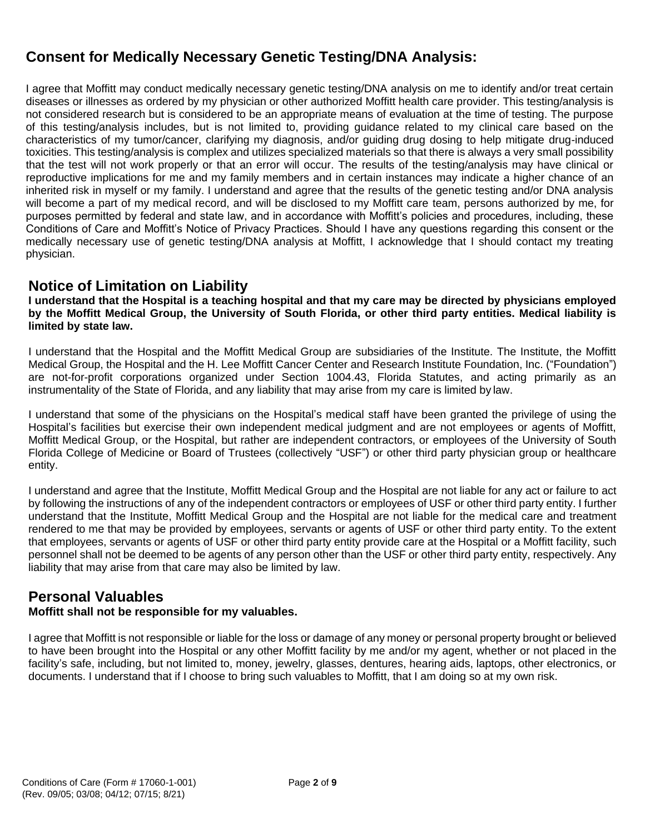# **Consent for Medically Necessary Genetic Testing/DNA Analysis:**

I agree that Moffitt may conduct medically necessary genetic testing/DNA analysis on me to identify and/or treat certain diseases or illnesses as ordered by my physician or other authorized Moffitt health care provider. This testing/analysis is not considered research but is considered to be an appropriate means of evaluation at the time of testing. The purpose of this testing/analysis includes, but is not limited to, providing guidance related to my clinical care based on the characteristics of my tumor/cancer, clarifying my diagnosis, and/or guiding drug dosing to help mitigate drug-induced toxicities. This testing/analysis is complex and utilizes specialized materials so that there is always a very small possibility that the test will not work properly or that an error will occur. The results of the testing/analysis may have clinical or reproductive implications for me and my family members and in certain instances may indicate a higher chance of an inherited risk in myself or my family. I understand and agree that the results of the genetic testing and/or DNA analysis will become a part of my medical record, and will be disclosed to my Moffitt care team, persons authorized by me, for purposes permitted by federal and state law, and in accordance with Moffitt's policies and procedures, including, these Conditions of Care and Moffitt's Notice of Privacy Practices. Should I have any questions regarding this consent or the medically necessary use of genetic testing/DNA analysis at Moffitt, I acknowledge that I should contact my treating physician.

## **Notice of Limitation on Liability**

**I understand that the Hospital is a teaching hospital and that my care may be directed by physicians employed by the Moffitt Medical Group, the University of South Florida, or other third party entities. Medical liability is limited by state law.**

I understand that the Hospital and the Moffitt Medical Group are subsidiaries of the Institute. The Institute, the Moffitt Medical Group, the Hospital and the H. Lee Moffitt Cancer Center and Research Institute Foundation, Inc. ("Foundation") are not-for-profit corporations organized under Section 1004.43, Florida Statutes, and acting primarily as an instrumentality of the State of Florida, and any liability that may arise from my care is limited by law.

I understand that some of the physicians on the Hospital's medical staff have been granted the privilege of using the Hospital's facilities but exercise their own independent medical judgment and are not employees or agents of Moffitt, Moffitt Medical Group, or the Hospital, but rather are independent contractors, or employees of the University of South Florida College of Medicine or Board of Trustees (collectively "USF") or other third party physician group or healthcare entity.

I understand and agree that the Institute, Moffitt Medical Group and the Hospital are not liable for any act or failure to act by following the instructions of any of the independent contractors or employees of USF or other third party entity. I further understand that the Institute, Moffitt Medical Group and the Hospital are not liable for the medical care and treatment rendered to me that may be provided by employees, servants or agents of USF or other third party entity. To the extent that employees, servants or agents of USF or other third party entity provide care at the Hospital or a Moffitt facility, such personnel shall not be deemed to be agents of any person other than the USF or other third party entity, respectively. Any liability that may arise from that care may also be limited by law.

## **Personal Valuables**

## **Moffitt shall not be responsible for my valuables.**

I agree that Moffitt is not responsible or liable for the loss or damage of any money or personal property brought or believed to have been brought into the Hospital or any other Moffitt facility by me and/or my agent, whether or not placed in the facility's safe, including, but not limited to, money, jewelry, glasses, dentures, hearing aids, laptops, other electronics, or documents. I understand that if I choose to bring such valuables to Moffitt, that I am doing so at my own risk.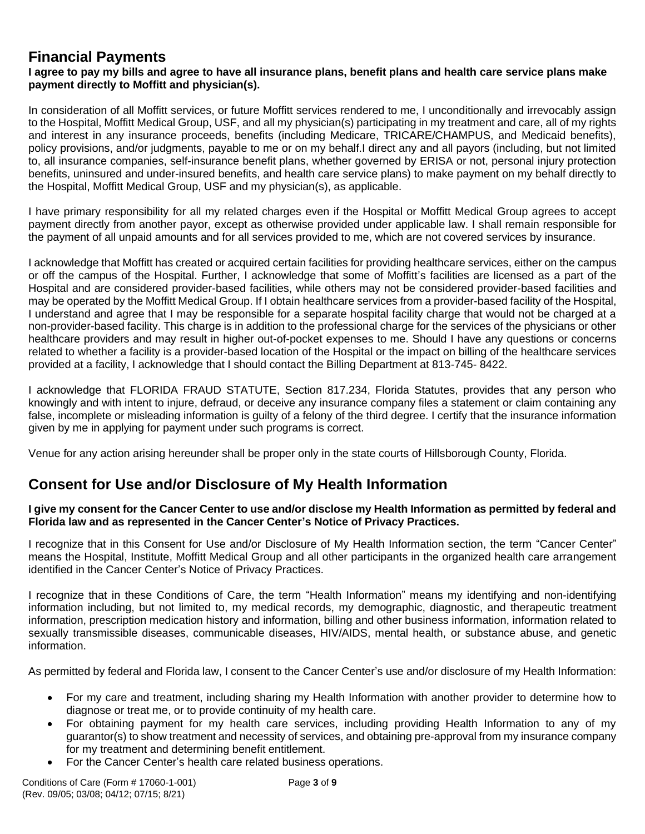# **Financial Payments**

## **I agree to pay my bills and agree to have all insurance plans, benefit plans and health care service plans make payment directly to Moffitt and physician(s).**

In consideration of all Moffitt services, or future Moffitt services rendered to me, I unconditionally and irrevocably assign to the Hospital, Moffitt Medical Group, USF, and all my physician(s) participating in my treatment and care, all of my rights and interest in any insurance proceeds, benefits (including Medicare, TRICARE/CHAMPUS, and Medicaid benefits), policy provisions, and/or judgments, payable to me or on my behalf.I direct any and all payors (including, but not limited to, all insurance companies, self-insurance benefit plans, whether governed by ERISA or not, personal injury protection benefits, uninsured and under-insured benefits, and health care service plans) to make payment on my behalf directly to the Hospital, Moffitt Medical Group, USF and my physician(s), as applicable.

I have primary responsibility for all my related charges even if the Hospital or Moffitt Medical Group agrees to accept payment directly from another payor, except as otherwise provided under applicable law. I shall remain responsible for the payment of all unpaid amounts and for all services provided to me, which are not covered services by insurance.

I acknowledge that Moffitt has created or acquired certain facilities for providing healthcare services, either on the campus or off the campus of the Hospital. Further, I acknowledge that some of Moffitt's facilities are licensed as a part of the Hospital and are considered provider-based facilities, while others may not be considered provider-based facilities and may be operated by the Moffitt Medical Group. If I obtain healthcare services from a provider-based facility of the Hospital, I understand and agree that I may be responsible for a separate hospital facility charge that would not be charged at a non-provider-based facility. This charge is in addition to the professional charge for the services of the physicians or other healthcare providers and may result in higher out-of-pocket expenses to me. Should I have any questions or concerns related to whether a facility is a provider-based location of the Hospital or the impact on billing of the healthcare services provided at a facility, I acknowledge that I should contact the Billing Department at 813-745- 8422.

I acknowledge that FLORIDA FRAUD STATUTE, Section 817.234, Florida Statutes, provides that any person who knowingly and with intent to injure, defraud, or deceive any insurance company files a statement or claim containing any false, incomplete or misleading information is guilty of a felony of the third degree. I certify that the insurance information given by me in applying for payment under such programs is correct.

Venue for any action arising hereunder shall be proper only in the state courts of Hillsborough County, Florida.

# **Consent for Use and/or Disclosure of My Health Information**

## **I give my consent for the Cancer Center to use and/or disclose my Health Information as permitted by federal and Florida law and as represented in the Cancer Center's Notice of Privacy Practices.**

I recognize that in this Consent for Use and/or Disclosure of My Health Information section, the term "Cancer Center" means the Hospital, Institute, Moffitt Medical Group and all other participants in the organized health care arrangement identified in the Cancer Center's Notice of Privacy Practices.

I recognize that in these Conditions of Care, the term "Health Information" means my identifying and non-identifying information including, but not limited to, my medical records, my demographic, diagnostic, and therapeutic treatment information, prescription medication history and information, billing and other business information, information related to sexually transmissible diseases, communicable diseases, HIV/AIDS, mental health, or substance abuse, and genetic information.

As permitted by federal and Florida law, I consent to the Cancer Center's use and/or disclosure of my Health Information:

- For my care and treatment, including sharing my Health Information with another provider to determine how to diagnose or treat me, or to provide continuity of my health care.
- For obtaining payment for my health care services, including providing Health Information to any of my guarantor(s) to show treatment and necessity of services, and obtaining pre-approval from my insurance company for my treatment and determining benefit entitlement.
- For the Cancer Center's health care related business operations.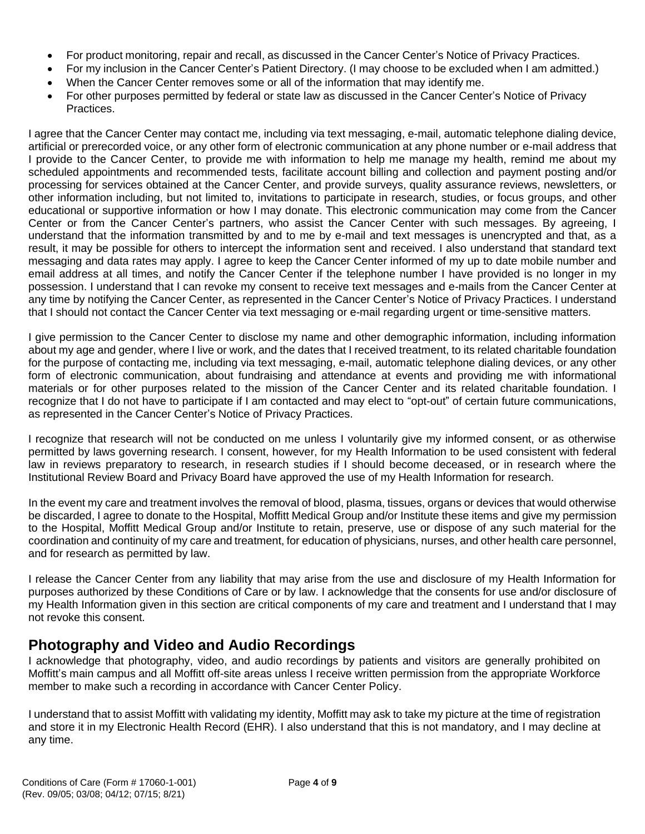- For product monitoring, repair and recall, as discussed in the Cancer Center's Notice of Privacy Practices.
- For my inclusion in the Cancer Center's Patient Directory. (I may choose to be excluded when I am admitted.)
- When the Cancer Center removes some or all of the information that may identify me.
- For other purposes permitted by federal or state law as discussed in the Cancer Center's Notice of Privacy Practices.

I agree that the Cancer Center may contact me, including via text messaging, e-mail, automatic telephone dialing device, artificial or prerecorded voice, or any other form of electronic communication at any phone number or e-mail address that I provide to the Cancer Center, to provide me with information to help me manage my health, remind me about my scheduled appointments and recommended tests, facilitate account billing and collection and payment posting and/or processing for services obtained at the Cancer Center, and provide surveys, quality assurance reviews, newsletters, or other information including, but not limited to, invitations to participate in research, studies, or focus groups, and other educational or supportive information or how I may donate. This electronic communication may come from the Cancer Center or from the Cancer Center's partners, who assist the Cancer Center with such messages. By agreeing, I understand that the information transmitted by and to me by e-mail and text messages is unencrypted and that, as a result, it may be possible for others to intercept the information sent and received. I also understand that standard text messaging and data rates may apply. I agree to keep the Cancer Center informed of my up to date mobile number and email address at all times, and notify the Cancer Center if the telephone number I have provided is no longer in my possession. I understand that I can revoke my consent to receive text messages and e-mails from the Cancer Center at any time by notifying the Cancer Center, as represented in the Cancer Center's Notice of Privacy Practices. I understand that I should not contact the Cancer Center via text messaging or e-mail regarding urgent or time-sensitive matters.

I give permission to the Cancer Center to disclose my name and other demographic information, including information about my age and gender, where I live or work, and the dates that I received treatment, to its related charitable foundation for the purpose of contacting me, including via text messaging, e-mail, automatic telephone dialing devices, or any other form of electronic communication, about fundraising and attendance at events and providing me with informational materials or for other purposes related to the mission of the Cancer Center and its related charitable foundation. I recognize that I do not have to participate if I am contacted and may elect to "opt-out" of certain future communications, as represented in the Cancer Center's Notice of Privacy Practices.

I recognize that research will not be conducted on me unless I voluntarily give my informed consent, or as otherwise permitted by laws governing research. I consent, however, for my Health Information to be used consistent with federal law in reviews preparatory to research, in research studies if I should become deceased, or in research where the Institutional Review Board and Privacy Board have approved the use of my Health Information for research.

In the event my care and treatment involves the removal of blood, plasma, tissues, organs or devices that would otherwise be discarded, I agree to donate to the Hospital, Moffitt Medical Group and/or Institute these items and give my permission to the Hospital, Moffitt Medical Group and/or Institute to retain, preserve, use or dispose of any such material for the coordination and continuity of my care and treatment, for education of physicians, nurses, and other health care personnel, and for research as permitted by law.

I release the Cancer Center from any liability that may arise from the use and disclosure of my Health Information for purposes authorized by these Conditions of Care or by law. I acknowledge that the consents for use and/or disclosure of my Health Information given in this section are critical components of my care and treatment and I understand that I may not revoke this consent.

# **Photography and Video and Audio Recordings**

I acknowledge that photography, video, and audio recordings by patients and visitors are generally prohibited on Moffitt's main campus and all Moffitt off-site areas unless I receive written permission from the appropriate Workforce member to make such a recording in accordance with Cancer Center Policy.

I understand that to assist Moffitt with validating my identity, Moffitt may ask to take my picture at the time of registration and store it in my Electronic Health Record (EHR). I also understand that this is not mandatory, and I may decline at any time.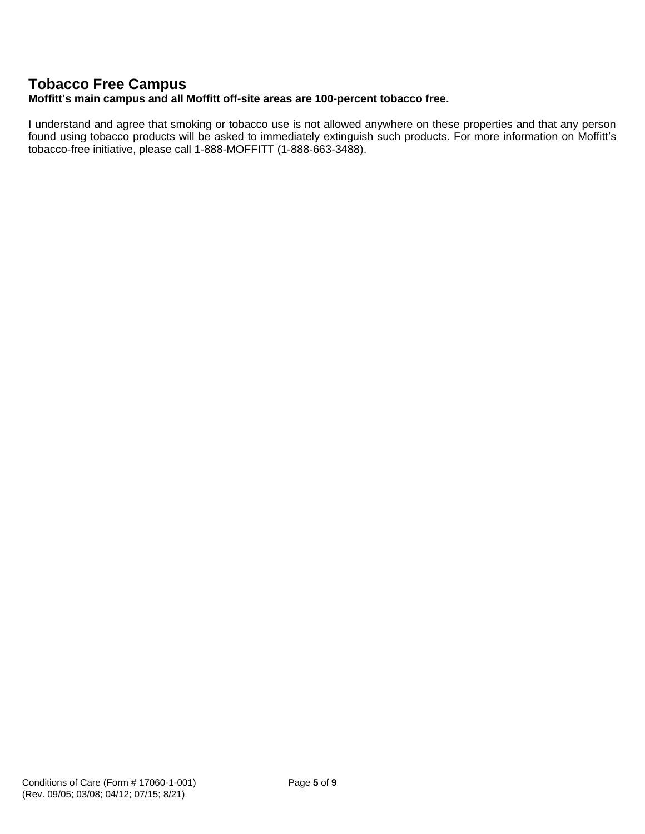## **Tobacco Free Campus**

## **Moffitt's main campus and all Moffitt off-site areas are 100-percent tobacco free.**

I understand and agree that smoking or tobacco use is not allowed anywhere on these properties and that any person found using tobacco products will be asked to immediately extinguish such products. For more information on Moffitt's tobacco-free initiative, please call 1-888-MOFFITT (1-888-663-3488).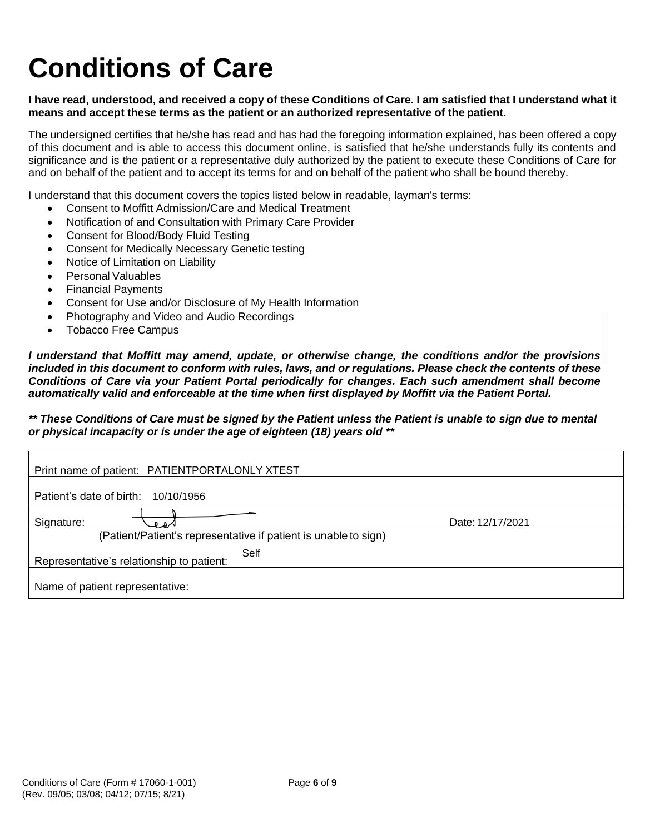# **Conditions of Care**

## **I have read, understood, and received a copy of these Conditions of Care. I am satisfied that I understand what it means and accept these terms as the patient or an authorized representative of the patient.**

The undersigned certifies that he/she has read and has had the foregoing information explained, has been offered a copy of this document and is able to access this document online, is satisfied that he/she understands fully its contents and significance and is the patient or a representative duly authorized by the patient to execute these Conditions of Care for and on behalf of the patient and to accept its terms for and on behalf of the patient who shall be bound thereby.

I understand that this document covers the topics listed below in readable, layman's terms:

- Consent to Moffitt Admission/Care and Medical Treatment
- Notification of and Consultation with Primary Care Provider
- Consent for Blood/Body Fluid Testing
- Consent for Medically Necessary Genetic testing
- Notice of Limitation on Liability
- Personal Valuables
- Financial Payments
- Consent for Use and/or Disclosure of My Health Information
- Photography and Video and Audio Recordings
- Tobacco Free Campus

*I understand that Moffitt may amend, update, or otherwise change, the conditions and/or the provisions included in this document to conform with rules, laws, and or regulations. Please check the contents of these Conditions of Care via your Patient Portal periodically for changes. Each such amendment shall become automatically valid and enforceable at the time when first displayed by Moffitt via the Patient Portal.* 

## *\*\* These Conditions of Care must be signed by the Patient unless the Patient is unable to sign due to mental or physical incapacity or is under the age of eighteen (18) years old \*\**

| Print name of patient: PATIENTPORTALONLY XTEST                  |                  |
|-----------------------------------------------------------------|------------------|
| Patient's date of birth:<br>10/10/1956                          |                  |
| Signature:<br>⊳∡ و                                              | Date: 12/17/2021 |
| (Patient/Patient's representative if patient is unable to sign) |                  |
| Self<br>Representative's relationship to patient:               |                  |
|                                                                 |                  |
| Name of patient representative:                                 |                  |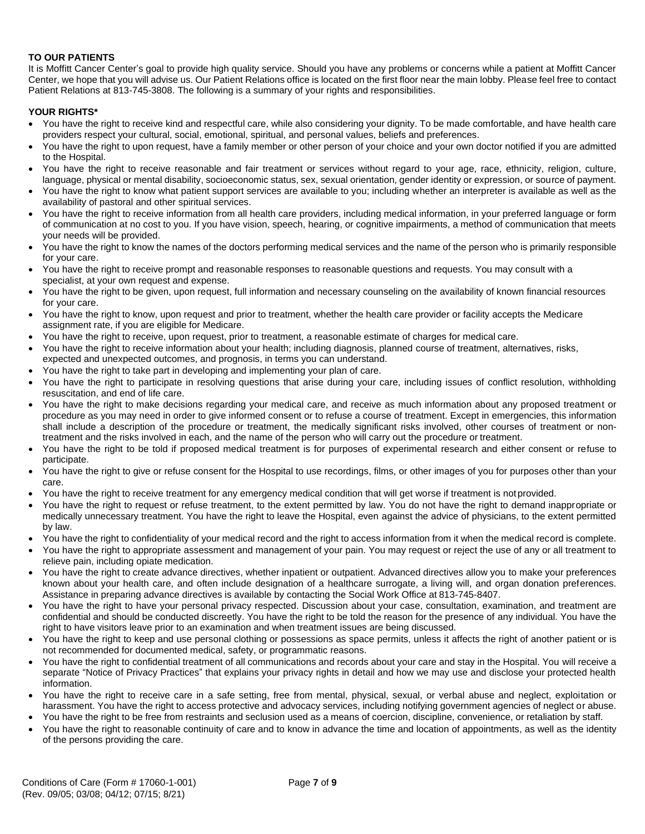#### **TO OUR PATIENTS**

It is Moffitt Cancer Center's goal to provide high quality service. Should you have any problems or concerns while a patient at Moffitt Cancer Center, we hope that you will advise us. Our Patient Relations office is located on the first floor near the main lobby. Please feel free to contact Patient Relations at 813-745-3808. The following is a summary of your rights and responsibilities.

#### **YOUR RIGHTS\***

- You have the right to receive kind and respectful care, while also considering your dignity. To be made comfortable, and have health care providers respect your cultural, social, emotional, spiritual, and personal values, beliefs and preferences.
- You have the right to upon request, have a family member or other person of your choice and your own doctor notified if you are admitted to the Hospital.
- You have the right to receive reasonable and fair treatment or services without regard to your age, race, ethnicity, religion, culture, language, physical or mental disability, socioeconomic status, sex, sexual orientation, gender identity or expression, or source of payment.
- You have the right to know what patient support services are available to you; including whether an interpreter is available as well as the availability of pastoral and other spiritual services.
- You have the right to receive information from all health care providers, including medical information, in your preferred language or form of communication at no cost to you. If you have vision, speech, hearing, or cognitive impairments, a method of communication that meets your needs will be provided.
- You have the right to know the names of the doctors performing medical services and the name of the person who is primarily responsible for your care.
- You have the right to receive prompt and reasonable responses to reasonable questions and requests. You may consult with a specialist, at your own request and expense.
- You have the right to be given, upon request, full information and necessary counseling on the availability of known financial resources for your care.
- You have the right to know, upon request and prior to treatment, whether the health care provider or facility accepts the Medicare assignment rate, if you are eligible for Medicare.
- You have the right to receive, upon request, prior to treatment, a reasonable estimate of charges for medical care.
- You have the right to receive information about your health; including diagnosis, planned course of treatment, alternatives, risks,
- expected and unexpected outcomes, and prognosis, in terms you can understand.
- You have the right to take part in developing and implementing your plan of care.
- You have the right to participate in resolving questions that arise during your care, including issues of conflict resolution, withholding resuscitation, and end of life care.
- You have the right to make decisions regarding your medical care, and receive as much information about any proposed treatment or procedure as you may need in order to give informed consent or to refuse a course of treatment. Except in emergencies, this information shall include a description of the procedure or treatment, the medically significant risks involved, other courses of treatment or nontreatment and the risks involved in each, and the name of the person who will carry out the procedure or treatment.
- You have the right to be told if proposed medical treatment is for purposes of experimental research and either consent or refuse to participate.
- You have the right to give or refuse consent for the Hospital to use recordings, films, or other images of you for purposes other than your care.
- You have the right to receive treatment for any emergency medical condition that will get worse if treatment is notprovided.
- You have the right to request or refuse treatment, to the extent permitted by law. You do not have the right to demand inappropriate or medically unnecessary treatment. You have the right to leave the Hospital, even against the advice of physicians, to the extent permitted by law.
- You have the right to confidentiality of your medical record and the right to access information from it when the medical record is complete.
- You have the right to appropriate assessment and management of your pain. You may request or reject the use of any or all treatment to relieve pain, including opiate medication.
- You have the right to create advance directives, whether inpatient or outpatient. Advanced directives allow you to make your preferences known about your health care, and often include designation of a healthcare surrogate, a living will, and organ donation preferences. Assistance in preparing advance directives is available by contacting the Social Work Office at 813-745-8407.
- You have the right to have your personal privacy respected. Discussion about your case, consultation, examination, and treatment are confidential and should be conducted discreetly. You have the right to be told the reason for the presence of any individual. You have the right to have visitors leave prior to an examination and when treatment issues are being discussed.
- You have the right to keep and use personal clothing or possessions as space permits, unless it affects the right of another patient or is not recommended for documented medical, safety, or programmatic reasons.
- You have the right to confidential treatment of all communications and records about your care and stay in the Hospital. You will receive a separate "Notice of Privacy Practices" that explains your privacy rights in detail and how we may use and disclose your protected health information.
- You have the right to receive care in a safe setting, free from mental, physical, sexual, or verbal abuse and neglect, exploitation or harassment. You have the right to access protective and advocacy services, including notifying government agencies of neglect or abuse.
- You have the right to be free from restraints and seclusion used as a means of coercion, discipline, convenience, or retaliation by staff.
- You have the right to reasonable continuity of care and to know in advance the time and location of appointments, as well as the identity of the persons providing the care.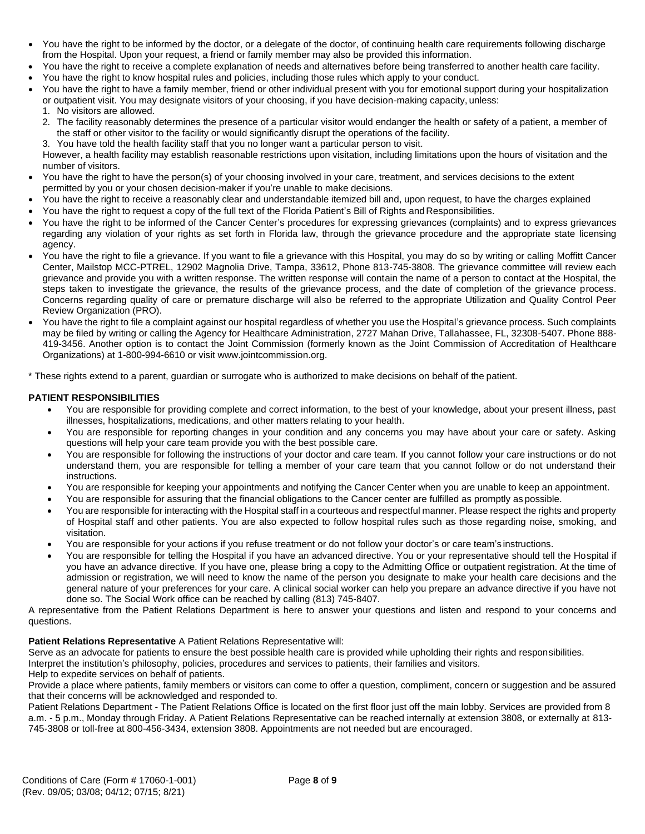- You have the right to be informed by the doctor, or a delegate of the doctor, of continuing health care requirements following discharge from the Hospital. Upon your request, a friend or family member may also be provided this information.
- You have the right to receive a complete explanation of needs and alternatives before being transferred to another health care facility.
- You have the right to know hospital rules and policies, including those rules which apply to your conduct.
- You have the right to have a family member, friend or other individual present with you for emotional support during your hospitalization or outpatient visit. You may designate visitors of your choosing, if you have decision-making capacity, unless:
	- 1. No visitors are allowed.
	- 2. The facility reasonably determines the presence of a particular visitor would endanger the health or safety of a patient, a member of the staff or other visitor to the facility or would significantly disrupt the operations of the facility.
	- 3. You have told the health facility staff that you no longer want a particular person to visit.

However, a health facility may establish reasonable restrictions upon visitation, including limitations upon the hours of visitation and the number of visitors.

- You have the right to have the person(s) of your choosing involved in your care, treatment, and services decisions to the extent permitted by you or your chosen decision-maker if you're unable to make decisions.
- You have the right to receive a reasonably clear and understandable itemized bill and, upon request, to have the charges explained
- You have the right to request a copy of the full text of the Florida Patient's Bill of Rights and Responsibilities.
- You have the right to be informed of the Cancer Center's procedures for expressing grievances (complaints) and to express grievances regarding any violation of your rights as set forth in Florida law, through the grievance procedure and the appropriate state licensing agency.
- You have the right to file a grievance. If you want to file a grievance with this Hospital, you may do so by writing or calling Moffitt Cancer Center, Mailstop MCC-PTREL, 12902 Magnolia Drive, Tampa, 33612, Phone 813-745-3808. The grievance committee will review each grievance and provide you with a written response. The written response will contain the name of a person to contact at the Hospital, the steps taken to investigate the grievance, the results of the grievance process, and the date of completion of the grievance process. Concerns regarding quality of care or premature discharge will also be referred to the appropriate Utilization and Quality Control Peer Review Organization (PRO).
- You have the right to file a complaint against our hospital regardless of whether you use the Hospital's grievance process. Such complaints may be filed by writing or calling the Agency for Healthcare Administration, 2727 Mahan Drive, Tallahassee, FL, 32308-5407. Phone 888- 419-3456. Another option is to contact the Joint Commission (formerly known as the Joint Commission of Accreditation of Healthcare Organizations) at 1-800-994-6610 or visit [www.jointcommission.org.](http://www.jointcommission.org/)

\* These rights extend to a parent, guardian or surrogate who is authorized to make decisions on behalf of the patient.

### **PATIENT RESPONSIBILITIES**

- You are responsible for providing complete and correct information, to the best of your knowledge, about your present illness, past illnesses, hospitalizations, medications, and other matters relating to your health.
- You are responsible for reporting changes in your condition and any concerns you may have about your care or safety. Asking questions will help your care team provide you with the best possible care.
- You are responsible for following the instructions of your doctor and care team. If you cannot follow your care instructions or do not understand them, you are responsible for telling a member of your care team that you cannot follow or do not understand their instructions.
- You are responsible for keeping your appointments and notifying the Cancer Center when you are unable to keep an appointment.
- You are responsible for assuring that the financial obligations to the Cancer center are fulfilled as promptly as possible.
- You are responsible for interacting with the Hospital staff in a courteous and respectful manner. Please respect the rights and property of Hospital staff and other patients. You are also expected to follow hospital rules such as those regarding noise, smoking, and visitation.
- You are responsible for your actions if you refuse treatment or do not follow your doctor's or care team's instructions.
- You are responsible for telling the Hospital if you have an advanced directive. You or your representative should tell the Hospital if you have an advance directive. If you have one, please bring a copy to the Admitting Office or outpatient registration. At the time of admission or registration, we will need to know the name of the person you designate to make your health care decisions and the general nature of your preferences for your care. A clinical social worker can help you prepare an advance directive if you have not done so. The Social Work office can be reached by calling (813) 745-8407.

A representative from the Patient Relations Department is here to answer your questions and listen and respond to your concerns and questions.

### **Patient Relations Representative** A Patient Relations Representative will:

Serve as an advocate for patients to ensure the best possible health care is provided while upholding their rights and responsibilities.

Interpret the institution's philosophy, policies, procedures and services to patients, their families and visitors.

Help to expedite services on behalf of patients.

Provide a place where patients, family members or visitors can come to offer a question, compliment, concern or suggestion and be assured that their concerns will be acknowledged and responded to.

Patient Relations Department - The Patient Relations Office is located on the first floor just off the main lobby. Services are provided from 8 a.m. - 5 p.m., Monday through Friday. A Patient Relations Representative can be reached internally at extension 3808, or externally at 813- 745-3808 or toll-free at 800-456-3434, extension 3808. Appointments are not needed but are encouraged.